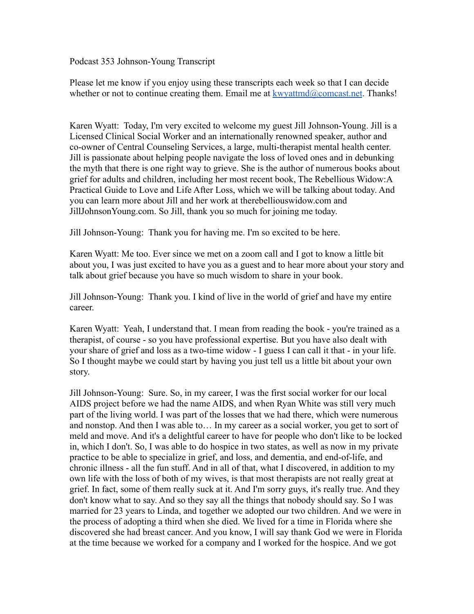Podcast 353 Johnson-Young Transcript

Please let me know if you enjoy using these transcripts each week so that I can decide whether or not to continue creating them. Email me at  $k$ wyattmd@comcast.net. Thanks!

Karen Wyatt: Today, I'm very excited to welcome my guest Jill Johnson-Young. Jill is a Licensed Clinical Social Worker and an internationally renowned speaker, author and co-owner of Central Counseling Services, a large, multi-therapist mental health center. Jill is passionate about helping people navigate the loss of loved ones and in debunking the myth that there is one right way to grieve. She is the author of numerous books about grief for adults and children, including her most recent book, The Rebellious Widow:A Practical Guide to Love and Life After Loss, which we will be talking about today. And you can learn more about Jill and her work at therebelliouswidow.com and JillJohnsonYoung.com. So Jill, thank you so much for joining me today.

Jill Johnson-Young: Thank you for having me. I'm so excited to be here.

Karen Wyatt: Me too. Ever since we met on a zoom call and I got to know a little bit about you, I was just excited to have you as a guest and to hear more about your story and talk about grief because you have so much wisdom to share in your book.

Jill Johnson-Young: Thank you. I kind of live in the world of grief and have my entire career.

Karen Wyatt: Yeah, I understand that. I mean from reading the book - you're trained as a therapist, of course - so you have professional expertise. But you have also dealt with your share of grief and loss as a two-time widow - I guess I can call it that - in your life. So I thought maybe we could start by having you just tell us a little bit about your own story.

Jill Johnson-Young: Sure. So, in my career, I was the first social worker for our local AIDS project before we had the name AIDS, and when Ryan White was still very much part of the living world. I was part of the losses that we had there, which were numerous and nonstop. And then I was able to… In my career as a social worker, you get to sort of meld and move. And it's a delightful career to have for people who don't like to be locked in, which I don't. So, I was able to do hospice in two states, as well as now in my private practice to be able to specialize in grief, and loss, and dementia, and end-of-life, and chronic illness - all the fun stuff. And in all of that, what I discovered, in addition to my own life with the loss of both of my wives, is that most therapists are not really great at grief. In fact, some of them really suck at it. And I'm sorry guys, it's really true. And they don't know what to say. And so they say all the things that nobody should say. So I was married for 23 years to Linda, and together we adopted our two children. And we were in the process of adopting a third when she died. We lived for a time in Florida where she discovered she had breast cancer. And you know, I will say thank God we were in Florida at the time because we worked for a company and I worked for the hospice. And we got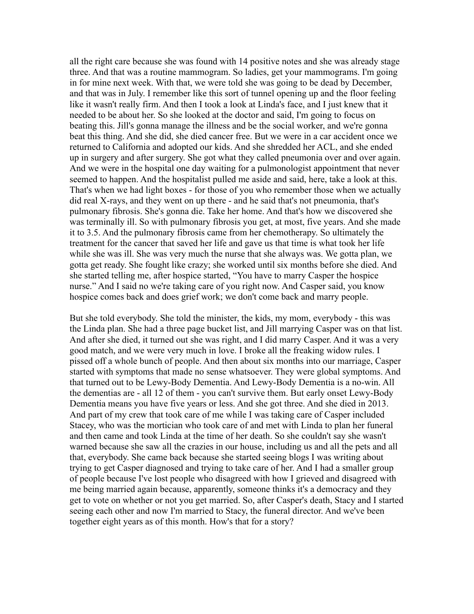all the right care because she was found with 14 positive notes and she was already stage three. And that was a routine mammogram. So ladies, get your mammograms. I'm going in for mine next week. With that, we were told she was going to be dead by December, and that was in July. I remember like this sort of tunnel opening up and the floor feeling like it wasn't really firm. And then I took a look at Linda's face, and I just knew that it needed to be about her. So she looked at the doctor and said, I'm going to focus on beating this. Jill's gonna manage the illness and be the social worker, and we're gonna beat this thing. And she did, she died cancer free. But we were in a car accident once we returned to California and adopted our kids. And she shredded her ACL, and she ended up in surgery and after surgery. She got what they called pneumonia over and over again. And we were in the hospital one day waiting for a pulmonologist appointment that never seemed to happen. And the hospitalist pulled me aside and said, here, take a look at this. That's when we had light boxes - for those of you who remember those when we actually did real X-rays, and they went on up there - and he said that's not pneumonia, that's pulmonary fibrosis. She's gonna die. Take her home. And that's how we discovered she was terminally ill. So with pulmonary fibrosis you get, at most, five years. And she made it to 3.5. And the pulmonary fibrosis came from her chemotherapy. So ultimately the treatment for the cancer that saved her life and gave us that time is what took her life while she was ill. She was very much the nurse that she always was. We gotta plan, we gotta get ready. She fought like crazy; she worked until six months before she died. And she started telling me, after hospice started, "You have to marry Casper the hospice nurse." And I said no we're taking care of you right now. And Casper said, you know hospice comes back and does grief work; we don't come back and marry people.

But she told everybody. She told the minister, the kids, my mom, everybody - this was the Linda plan. She had a three page bucket list, and Jill marrying Casper was on that list. And after she died, it turned out she was right, and I did marry Casper. And it was a very good match, and we were very much in love. I broke all the freaking widow rules. I pissed off a whole bunch of people. And then about six months into our marriage, Casper started with symptoms that made no sense whatsoever. They were global symptoms. And that turned out to be Lewy-Body Dementia. And Lewy-Body Dementia is a no-win. All the dementias are - all 12 of them - you can't survive them. But early onset Lewy-Body Dementia means you have five years or less. And she got three. And she died in 2013. And part of my crew that took care of me while I was taking care of Casper included Stacey, who was the mortician who took care of and met with Linda to plan her funeral and then came and took Linda at the time of her death. So she couldn't say she wasn't warned because she saw all the crazies in our house, including us and all the pets and all that, everybody. She came back because she started seeing blogs I was writing about trying to get Casper diagnosed and trying to take care of her. And I had a smaller group of people because I've lost people who disagreed with how I grieved and disagreed with me being married again because, apparently, someone thinks it's a democracy and they get to vote on whether or not you get married. So, after Casper's death, Stacy and I started seeing each other and now I'm married to Stacy, the funeral director. And we've been together eight years as of this month. How's that for a story?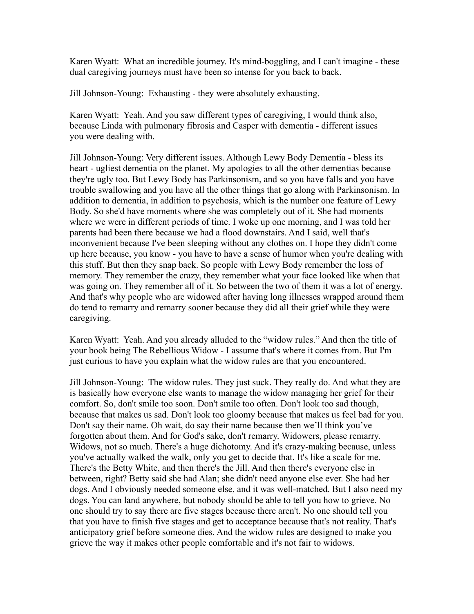Karen Wyatt: What an incredible journey. It's mind-boggling, and I can't imagine - these dual caregiving journeys must have been so intense for you back to back.

Jill Johnson-Young: Exhausting - they were absolutely exhausting.

Karen Wyatt: Yeah. And you saw different types of caregiving, I would think also, because Linda with pulmonary fibrosis and Casper with dementia - different issues you were dealing with.

Jill Johnson-Young: Very different issues. Although Lewy Body Dementia - bless its heart - ugliest dementia on the planet. My apologies to all the other dementias because they're ugly too. But Lewy Body has Parkinsonism, and so you have falls and you have trouble swallowing and you have all the other things that go along with Parkinsonism. In addition to dementia, in addition to psychosis, which is the number one feature of Lewy Body. So she'd have moments where she was completely out of it. She had moments where we were in different periods of time. I woke up one morning, and I was told her parents had been there because we had a flood downstairs. And I said, well that's inconvenient because I've been sleeping without any clothes on. I hope they didn't come up here because, you know - you have to have a sense of humor when you're dealing with this stuff. But then they snap back. So people with Lewy Body remember the loss of memory. They remember the crazy, they remember what your face looked like when that was going on. They remember all of it. So between the two of them it was a lot of energy. And that's why people who are widowed after having long illnesses wrapped around them do tend to remarry and remarry sooner because they did all their grief while they were caregiving.

Karen Wyatt: Yeah. And you already alluded to the "widow rules." And then the title of your book being The Rebellious Widow - I assume that's where it comes from. But I'm just curious to have you explain what the widow rules are that you encountered.

Jill Johnson-Young: The widow rules. They just suck. They really do. And what they are is basically how everyone else wants to manage the widow managing her grief for their comfort. So, don't smile too soon. Don't smile too often. Don't look too sad though, because that makes us sad. Don't look too gloomy because that makes us feel bad for you. Don't say their name. Oh wait, do say their name because then we'll think you've forgotten about them. And for God's sake, don't remarry. Widowers, please remarry. Widows, not so much. There's a huge dichotomy. And it's crazy-making because, unless you've actually walked the walk, only you get to decide that. It's like a scale for me. There's the Betty White, and then there's the Jill. And then there's everyone else in between, right? Betty said she had Alan; she didn't need anyone else ever. She had her dogs. And I obviously needed someone else, and it was well-matched. But I also need my dogs. You can land anywhere, but nobody should be able to tell you how to grieve. No one should try to say there are five stages because there aren't. No one should tell you that you have to finish five stages and get to acceptance because that's not reality. That's anticipatory grief before someone dies. And the widow rules are designed to make you grieve the way it makes other people comfortable and it's not fair to widows.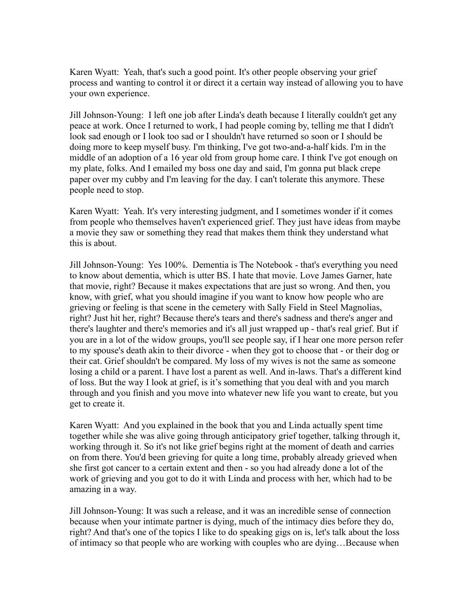Karen Wyatt: Yeah, that's such a good point. It's other people observing your grief process and wanting to control it or direct it a certain way instead of allowing you to have your own experience.

Jill Johnson-Young: I left one job after Linda's death because I literally couldn't get any peace at work. Once I returned to work, I had people coming by, telling me that I didn't look sad enough or I look too sad or I shouldn't have returned so soon or I should be doing more to keep myself busy. I'm thinking, I've got two-and-a-half kids. I'm in the middle of an adoption of a 16 year old from group home care. I think I've got enough on my plate, folks. And I emailed my boss one day and said, I'm gonna put black crepe paper over my cubby and I'm leaving for the day. I can't tolerate this anymore. These people need to stop.

Karen Wyatt: Yeah. It's very interesting judgment, and I sometimes wonder if it comes from people who themselves haven't experienced grief. They just have ideas from maybe a movie they saw or something they read that makes them think they understand what this is about.

Jill Johnson-Young: Yes 100%. Dementia is The Notebook - that's everything you need to know about dementia, which is utter BS. I hate that movie. Love James Garner, hate that movie, right? Because it makes expectations that are just so wrong. And then, you know, with grief, what you should imagine if you want to know how people who are grieving or feeling is that scene in the cemetery with Sally Field in Steel Magnolias, right? Just hit her, right? Because there's tears and there's sadness and there's anger and there's laughter and there's memories and it's all just wrapped up - that's real grief. But if you are in a lot of the widow groups, you'll see people say, if I hear one more person refer to my spouse's death akin to their divorce - when they got to choose that - or their dog or their cat. Grief shouldn't be compared. My loss of my wives is not the same as someone losing a child or a parent. I have lost a parent as well. And in-laws. That's a different kind of loss. But the way I look at grief, is it's something that you deal with and you march through and you finish and you move into whatever new life you want to create, but you get to create it.

Karen Wyatt: And you explained in the book that you and Linda actually spent time together while she was alive going through anticipatory grief together, talking through it, working through it. So it's not like grief begins right at the moment of death and carries on from there. You'd been grieving for quite a long time, probably already grieved when she first got cancer to a certain extent and then - so you had already done a lot of the work of grieving and you got to do it with Linda and process with her, which had to be amazing in a way.

Jill Johnson-Young: It was such a release, and it was an incredible sense of connection because when your intimate partner is dying, much of the intimacy dies before they do, right? And that's one of the topics I like to do speaking gigs on is, let's talk about the loss of intimacy so that people who are working with couples who are dying…Because when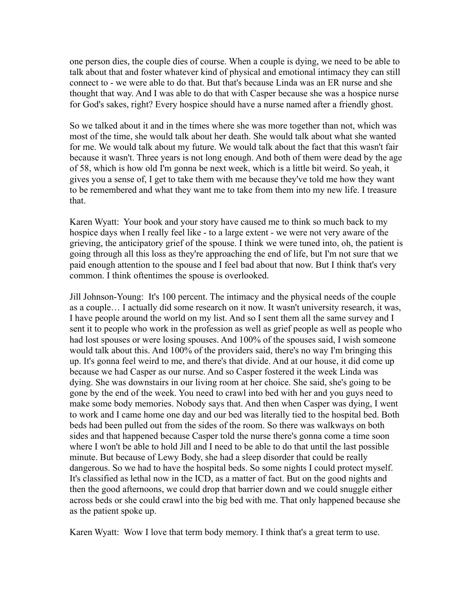one person dies, the couple dies of course. When a couple is dying, we need to be able to talk about that and foster whatever kind of physical and emotional intimacy they can still connect to - we were able to do that. But that's because Linda was an ER nurse and she thought that way. And I was able to do that with Casper because she was a hospice nurse for God's sakes, right? Every hospice should have a nurse named after a friendly ghost.

So we talked about it and in the times where she was more together than not, which was most of the time, she would talk about her death. She would talk about what she wanted for me. We would talk about my future. We would talk about the fact that this wasn't fair because it wasn't. Three years is not long enough. And both of them were dead by the age of 58, which is how old I'm gonna be next week, which is a little bit weird. So yeah, it gives you a sense of, I get to take them with me because they've told me how they want to be remembered and what they want me to take from them into my new life. I treasure that.

Karen Wyatt: Your book and your story have caused me to think so much back to my hospice days when I really feel like - to a large extent - we were not very aware of the grieving, the anticipatory grief of the spouse. I think we were tuned into, oh, the patient is going through all this loss as they're approaching the end of life, but I'm not sure that we paid enough attention to the spouse and I feel bad about that now. But I think that's very common. I think oftentimes the spouse is overlooked.

Jill Johnson-Young: It's 100 percent. The intimacy and the physical needs of the couple as a couple… I actually did some research on it now. It wasn't university research, it was, I have people around the world on my list. And so I sent them all the same survey and I sent it to people who work in the profession as well as grief people as well as people who had lost spouses or were losing spouses. And 100% of the spouses said, I wish someone would talk about this. And 100% of the providers said, there's no way I'm bringing this up. It's gonna feel weird to me, and there's that divide. And at our house, it did come up because we had Casper as our nurse. And so Casper fostered it the week Linda was dying. She was downstairs in our living room at her choice. She said, she's going to be gone by the end of the week. You need to crawl into bed with her and you guys need to make some body memories. Nobody says that. And then when Casper was dying, I went to work and I came home one day and our bed was literally tied to the hospital bed. Both beds had been pulled out from the sides of the room. So there was walkways on both sides and that happened because Casper told the nurse there's gonna come a time soon where I won't be able to hold Jill and I need to be able to do that until the last possible minute. But because of Lewy Body, she had a sleep disorder that could be really dangerous. So we had to have the hospital beds. So some nights I could protect myself. It's classified as lethal now in the ICD, as a matter of fact. But on the good nights and then the good afternoons, we could drop that barrier down and we could snuggle either across beds or she could crawl into the big bed with me. That only happened because she as the patient spoke up.

Karen Wyatt: Wow I love that term body memory. I think that's a great term to use.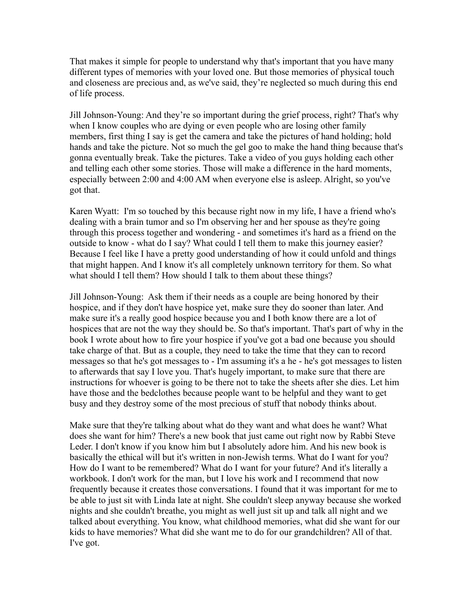That makes it simple for people to understand why that's important that you have many different types of memories with your loved one. But those memories of physical touch and closeness are precious and, as we've said, they're neglected so much during this end of life process.

Jill Johnson-Young: And they're so important during the grief process, right? That's why when I know couples who are dying or even people who are losing other family members, first thing I say is get the camera and take the pictures of hand holding; hold hands and take the picture. Not so much the gel goo to make the hand thing because that's gonna eventually break. Take the pictures. Take a video of you guys holding each other and telling each other some stories. Those will make a difference in the hard moments, especially between 2:00 and 4:00 AM when everyone else is asleep. Alright, so you've got that.

Karen Wyatt: I'm so touched by this because right now in my life, I have a friend who's dealing with a brain tumor and so I'm observing her and her spouse as they're going through this process together and wondering - and sometimes it's hard as a friend on the outside to know - what do I say? What could I tell them to make this journey easier? Because I feel like I have a pretty good understanding of how it could unfold and things that might happen. And I know it's all completely unknown territory for them. So what what should I tell them? How should I talk to them about these things?

Jill Johnson-Young: Ask them if their needs as a couple are being honored by their hospice, and if they don't have hospice yet, make sure they do sooner than later. And make sure it's a really good hospice because you and I both know there are a lot of hospices that are not the way they should be. So that's important. That's part of why in the book I wrote about how to fire your hospice if you've got a bad one because you should take charge of that. But as a couple, they need to take the time that they can to record messages so that he's got messages to - I'm assuming it's a he - he's got messages to listen to afterwards that say I love you. That's hugely important, to make sure that there are instructions for whoever is going to be there not to take the sheets after she dies. Let him have those and the bedclothes because people want to be helpful and they want to get busy and they destroy some of the most precious of stuff that nobody thinks about.

Make sure that they're talking about what do they want and what does he want? What does she want for him? There's a new book that just came out right now by Rabbi Steve Leder. I don't know if you know him but I absolutely adore him. And his new book is basically the ethical will but it's written in non-Jewish terms. What do I want for you? How do I want to be remembered? What do I want for your future? And it's literally a workbook. I don't work for the man, but I love his work and I recommend that now frequently because it creates those conversations. I found that it was important for me to be able to just sit with Linda late at night. She couldn't sleep anyway because she worked nights and she couldn't breathe, you might as well just sit up and talk all night and we talked about everything. You know, what childhood memories, what did she want for our kids to have memories? What did she want me to do for our grandchildren? All of that. I've got.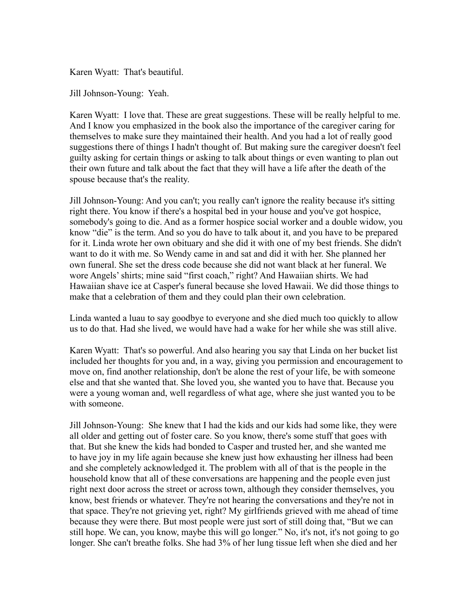Karen Wyatt: That's beautiful.

Jill Johnson-Young: Yeah.

Karen Wyatt: I love that. These are great suggestions. These will be really helpful to me. And I know you emphasized in the book also the importance of the caregiver caring for themselves to make sure they maintained their health. And you had a lot of really good suggestions there of things I hadn't thought of. But making sure the caregiver doesn't feel guilty asking for certain things or asking to talk about things or even wanting to plan out their own future and talk about the fact that they will have a life after the death of the spouse because that's the reality.

Jill Johnson-Young: And you can't; you really can't ignore the reality because it's sitting right there. You know if there's a hospital bed in your house and you've got hospice, somebody's going to die. And as a former hospice social worker and a double widow, you know "die" is the term. And so you do have to talk about it, and you have to be prepared for it. Linda wrote her own obituary and she did it with one of my best friends. She didn't want to do it with me. So Wendy came in and sat and did it with her. She planned her own funeral. She set the dress code because she did not want black at her funeral. We wore Angels' shirts; mine said "first coach," right? And Hawaiian shirts. We had Hawaiian shave ice at Casper's funeral because she loved Hawaii. We did those things to make that a celebration of them and they could plan their own celebration.

Linda wanted a luau to say goodbye to everyone and she died much too quickly to allow us to do that. Had she lived, we would have had a wake for her while she was still alive.

Karen Wyatt: That's so powerful. And also hearing you say that Linda on her bucket list included her thoughts for you and, in a way, giving you permission and encouragement to move on, find another relationship, don't be alone the rest of your life, be with someone else and that she wanted that. She loved you, she wanted you to have that. Because you were a young woman and, well regardless of what age, where she just wanted you to be with someone.

Jill Johnson-Young: She knew that I had the kids and our kids had some like, they were all older and getting out of foster care. So you know, there's some stuff that goes with that. But she knew the kids had bonded to Casper and trusted her, and she wanted me to have joy in my life again because she knew just how exhausting her illness had been and she completely acknowledged it. The problem with all of that is the people in the household know that all of these conversations are happening and the people even just right next door across the street or across town, although they consider themselves, you know, best friends or whatever. They're not hearing the conversations and they're not in that space. They're not grieving yet, right? My girlfriends grieved with me ahead of time because they were there. But most people were just sort of still doing that, "But we can still hope. We can, you know, maybe this will go longer." No, it's not, it's not going to go longer. She can't breathe folks. She had 3% of her lung tissue left when she died and her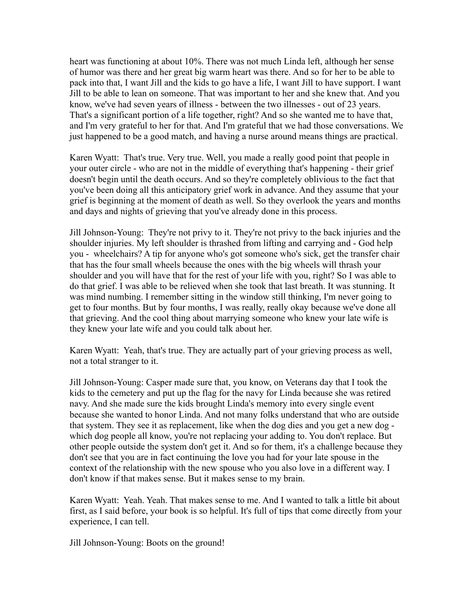heart was functioning at about 10%. There was not much Linda left, although her sense of humor was there and her great big warm heart was there. And so for her to be able to pack into that, I want Jill and the kids to go have a life, I want Jill to have support. I want Jill to be able to lean on someone. That was important to her and she knew that. And you know, we've had seven years of illness - between the two illnesses - out of 23 years. That's a significant portion of a life together, right? And so she wanted me to have that, and I'm very grateful to her for that. And I'm grateful that we had those conversations. We just happened to be a good match, and having a nurse around means things are practical.

Karen Wyatt: That's true. Very true. Well, you made a really good point that people in your outer circle - who are not in the middle of everything that's happening - their grief doesn't begin until the death occurs. And so they're completely oblivious to the fact that you've been doing all this anticipatory grief work in advance. And they assume that your grief is beginning at the moment of death as well. So they overlook the years and months and days and nights of grieving that you've already done in this process.

Jill Johnson-Young: They're not privy to it. They're not privy to the back injuries and the shoulder injuries. My left shoulder is thrashed from lifting and carrying and - God help you - wheelchairs? A tip for anyone who's got someone who's sick, get the transfer chair that has the four small wheels because the ones with the big wheels will thrash your shoulder and you will have that for the rest of your life with you, right? So I was able to do that grief. I was able to be relieved when she took that last breath. It was stunning. It was mind numbing. I remember sitting in the window still thinking, I'm never going to get to four months. But by four months, I was really, really okay because we've done all that grieving. And the cool thing about marrying someone who knew your late wife is they knew your late wife and you could talk about her.

Karen Wyatt: Yeah, that's true. They are actually part of your grieving process as well, not a total stranger to it.

Jill Johnson-Young: Casper made sure that, you know, on Veterans day that I took the kids to the cemetery and put up the flag for the navy for Linda because she was retired navy. And she made sure the kids brought Linda's memory into every single event because she wanted to honor Linda. And not many folks understand that who are outside that system. They see it as replacement, like when the dog dies and you get a new dog which dog people all know, you're not replacing your adding to. You don't replace. But other people outside the system don't get it. And so for them, it's a challenge because they don't see that you are in fact continuing the love you had for your late spouse in the context of the relationship with the new spouse who you also love in a different way. I don't know if that makes sense. But it makes sense to my brain.

Karen Wyatt: Yeah. Yeah. That makes sense to me. And I wanted to talk a little bit about first, as I said before, your book is so helpful. It's full of tips that come directly from your experience, I can tell.

Jill Johnson-Young: Boots on the ground!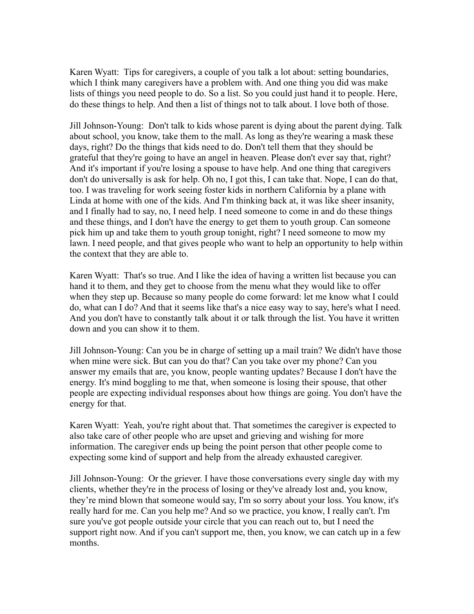Karen Wyatt: Tips for caregivers, a couple of you talk a lot about: setting boundaries, which I think many caregivers have a problem with. And one thing you did was make lists of things you need people to do. So a list. So you could just hand it to people. Here, do these things to help. And then a list of things not to talk about. I love both of those.

Jill Johnson-Young: Don't talk to kids whose parent is dying about the parent dying. Talk about school, you know, take them to the mall. As long as they're wearing a mask these days, right? Do the things that kids need to do. Don't tell them that they should be grateful that they're going to have an angel in heaven. Please don't ever say that, right? And it's important if you're losing a spouse to have help. And one thing that caregivers don't do universally is ask for help. Oh no, I got this, I can take that. Nope, I can do that, too. I was traveling for work seeing foster kids in northern California by a plane with Linda at home with one of the kids. And I'm thinking back at, it was like sheer insanity, and I finally had to say, no, I need help. I need someone to come in and do these things and these things, and I don't have the energy to get them to youth group. Can someone pick him up and take them to youth group tonight, right? I need someone to mow my lawn. I need people, and that gives people who want to help an opportunity to help within the context that they are able to.

Karen Wyatt: That's so true. And I like the idea of having a written list because you can hand it to them, and they get to choose from the menu what they would like to offer when they step up. Because so many people do come forward: let me know what I could do, what can I do? And that it seems like that's a nice easy way to say, here's what I need. And you don't have to constantly talk about it or talk through the list. You have it written down and you can show it to them.

Jill Johnson-Young: Can you be in charge of setting up a mail train? We didn't have those when mine were sick. But can you do that? Can you take over my phone? Can you answer my emails that are, you know, people wanting updates? Because I don't have the energy. It's mind boggling to me that, when someone is losing their spouse, that other people are expecting individual responses about how things are going. You don't have the energy for that.

Karen Wyatt: Yeah, you're right about that. That sometimes the caregiver is expected to also take care of other people who are upset and grieving and wishing for more information. The caregiver ends up being the point person that other people come to expecting some kind of support and help from the already exhausted caregiver.

Jill Johnson-Young: Or the griever. I have those conversations every single day with my clients, whether they're in the process of losing or they've already lost and, you know, they're mind blown that someone would say, I'm so sorry about your loss. You know, it's really hard for me. Can you help me? And so we practice, you know, I really can't. I'm sure you've got people outside your circle that you can reach out to, but I need the support right now. And if you can't support me, then, you know, we can catch up in a few months.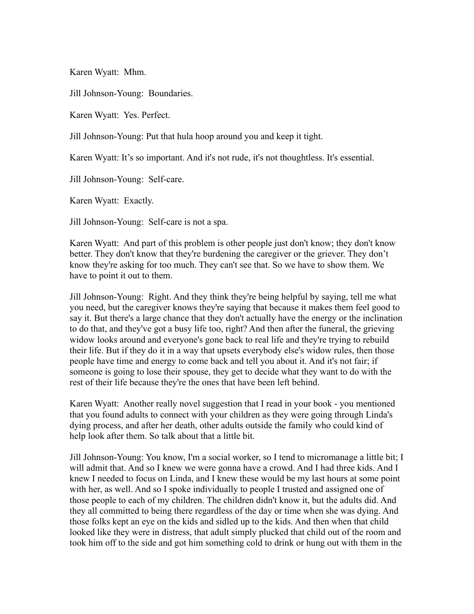Karen Wyatt: Mhm.

Jill Johnson-Young: Boundaries.

Karen Wyatt: Yes. Perfect.

Jill Johnson-Young: Put that hula hoop around you and keep it tight.

Karen Wyatt: It's so important. And it's not rude, it's not thoughtless. It's essential.

Jill Johnson-Young: Self-care.

Karen Wyatt: Exactly.

Jill Johnson-Young: Self-care is not a spa.

Karen Wyatt: And part of this problem is other people just don't know; they don't know better. They don't know that they're burdening the caregiver or the griever. They don't know they're asking for too much. They can't see that. So we have to show them. We have to point it out to them.

Jill Johnson-Young: Right. And they think they're being helpful by saying, tell me what you need, but the caregiver knows they're saying that because it makes them feel good to say it. But there's a large chance that they don't actually have the energy or the inclination to do that, and they've got a busy life too, right? And then after the funeral, the grieving widow looks around and everyone's gone back to real life and they're trying to rebuild their life. But if they do it in a way that upsets everybody else's widow rules, then those people have time and energy to come back and tell you about it. And it's not fair; if someone is going to lose their spouse, they get to decide what they want to do with the rest of their life because they're the ones that have been left behind.

Karen Wyatt: Another really novel suggestion that I read in your book - you mentioned that you found adults to connect with your children as they were going through Linda's dying process, and after her death, other adults outside the family who could kind of help look after them. So talk about that a little bit.

Jill Johnson-Young: You know, I'm a social worker, so I tend to micromanage a little bit; I will admit that. And so I knew we were gonna have a crowd. And I had three kids. And I knew I needed to focus on Linda, and I knew these would be my last hours at some point with her, as well. And so I spoke individually to people I trusted and assigned one of those people to each of my children. The children didn't know it, but the adults did. And they all committed to being there regardless of the day or time when she was dying. And those folks kept an eye on the kids and sidled up to the kids. And then when that child looked like they were in distress, that adult simply plucked that child out of the room and took him off to the side and got him something cold to drink or hung out with them in the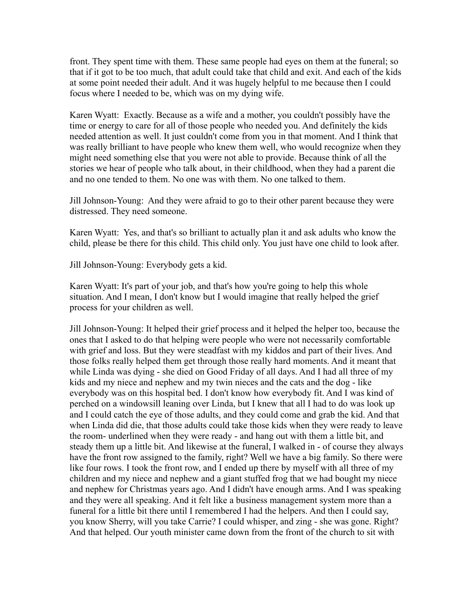front. They spent time with them. These same people had eyes on them at the funeral; so that if it got to be too much, that adult could take that child and exit. And each of the kids at some point needed their adult. And it was hugely helpful to me because then I could focus where I needed to be, which was on my dying wife.

Karen Wyatt: Exactly. Because as a wife and a mother, you couldn't possibly have the time or energy to care for all of those people who needed you. And definitely the kids needed attention as well. It just couldn't come from you in that moment. And I think that was really brilliant to have people who knew them well, who would recognize when they might need something else that you were not able to provide. Because think of all the stories we hear of people who talk about, in their childhood, when they had a parent die and no one tended to them. No one was with them. No one talked to them.

Jill Johnson-Young: And they were afraid to go to their other parent because they were distressed. They need someone.

Karen Wyatt: Yes, and that's so brilliant to actually plan it and ask adults who know the child, please be there for this child. This child only. You just have one child to look after.

Jill Johnson-Young: Everybody gets a kid.

Karen Wyatt: It's part of your job, and that's how you're going to help this whole situation. And I mean, I don't know but I would imagine that really helped the grief process for your children as well.

Jill Johnson-Young: It helped their grief process and it helped the helper too, because the ones that I asked to do that helping were people who were not necessarily comfortable with grief and loss. But they were steadfast with my kiddos and part of their lives. And those folks really helped them get through those really hard moments. And it meant that while Linda was dying - she died on Good Friday of all days. And I had all three of my kids and my niece and nephew and my twin nieces and the cats and the dog - like everybody was on this hospital bed. I don't know how everybody fit. And I was kind of perched on a windowsill leaning over Linda, but I knew that all I had to do was look up and I could catch the eye of those adults, and they could come and grab the kid. And that when Linda did die, that those adults could take those kids when they were ready to leave the room- underlined when they were ready - and hang out with them a little bit, and steady them up a little bit. And likewise at the funeral, I walked in - of course they always have the front row assigned to the family, right? Well we have a big family. So there were like four rows. I took the front row, and I ended up there by myself with all three of my children and my niece and nephew and a giant stuffed frog that we had bought my niece and nephew for Christmas years ago. And I didn't have enough arms. And I was speaking and they were all speaking. And it felt like a business management system more than a funeral for a little bit there until I remembered I had the helpers. And then I could say, you know Sherry, will you take Carrie? I could whisper, and zing - she was gone. Right? And that helped. Our youth minister came down from the front of the church to sit with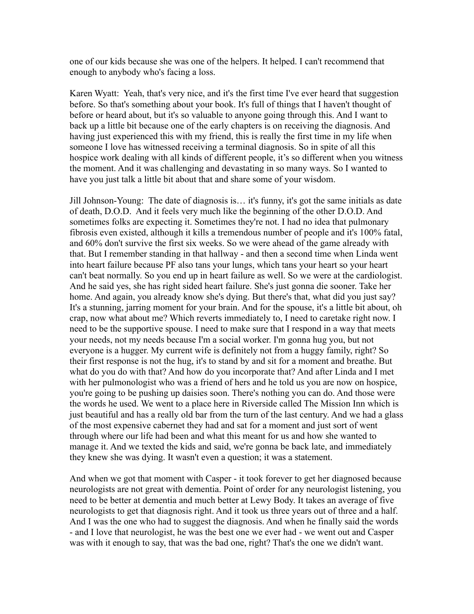one of our kids because she was one of the helpers. It helped. I can't recommend that enough to anybody who's facing a loss.

Karen Wyatt: Yeah, that's very nice, and it's the first time I've ever heard that suggestion before. So that's something about your book. It's full of things that I haven't thought of before or heard about, but it's so valuable to anyone going through this. And I want to back up a little bit because one of the early chapters is on receiving the diagnosis. And having just experienced this with my friend, this is really the first time in my life when someone I love has witnessed receiving a terminal diagnosis. So in spite of all this hospice work dealing with all kinds of different people, it's so different when you witness the moment. And it was challenging and devastating in so many ways. So I wanted to have you just talk a little bit about that and share some of your wisdom.

Jill Johnson-Young: The date of diagnosis is… it's funny, it's got the same initials as date of death, D.O.D. And it feels very much like the beginning of the other D.O.D. And sometimes folks are expecting it. Sometimes they're not. I had no idea that pulmonary fibrosis even existed, although it kills a tremendous number of people and it's 100% fatal, and 60% don't survive the first six weeks. So we were ahead of the game already with that. But I remember standing in that hallway - and then a second time when Linda went into heart failure because PF also tans your lungs, which tans your heart so your heart can't beat normally. So you end up in heart failure as well. So we were at the cardiologist. And he said yes, she has right sided heart failure. She's just gonna die sooner. Take her home. And again, you already know she's dying. But there's that, what did you just say? It's a stunning, jarring moment for your brain. And for the spouse, it's a little bit about, oh crap, now what about me? Which reverts immediately to, I need to caretake right now. I need to be the supportive spouse. I need to make sure that I respond in a way that meets your needs, not my needs because I'm a social worker. I'm gonna hug you, but not everyone is a hugger. My current wife is definitely not from a huggy family, right? So their first response is not the hug, it's to stand by and sit for a moment and breathe. But what do you do with that? And how do you incorporate that? And after Linda and I met with her pulmonologist who was a friend of hers and he told us you are now on hospice, you're going to be pushing up daisies soon. There's nothing you can do. And those were the words he used. We went to a place here in Riverside called The Mission Inn which is just beautiful and has a really old bar from the turn of the last century. And we had a glass of the most expensive cabernet they had and sat for a moment and just sort of went through where our life had been and what this meant for us and how she wanted to manage it. And we texted the kids and said, we're gonna be back late, and immediately they knew she was dying. It wasn't even a question; it was a statement.

And when we got that moment with Casper - it took forever to get her diagnosed because neurologists are not great with dementia. Point of order for any neurologist listening, you need to be better at dementia and much better at Lewy Body. It takes an average of five neurologists to get that diagnosis right. And it took us three years out of three and a half. And I was the one who had to suggest the diagnosis. And when he finally said the words - and I love that neurologist, he was the best one we ever had - we went out and Casper was with it enough to say, that was the bad one, right? That's the one we didn't want.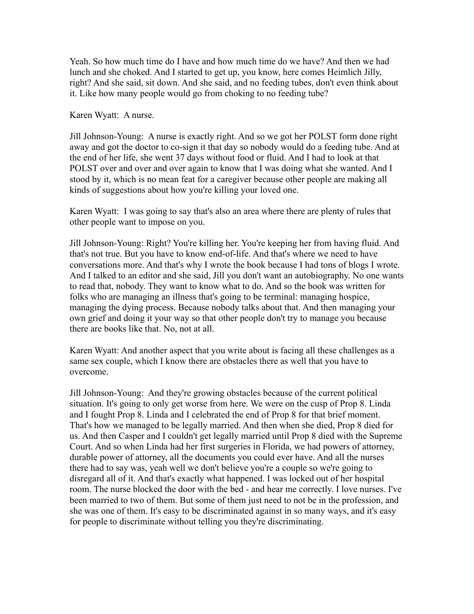Yeah. So how much time do I have and how much time do we have? And then we had lunch and she choked. And I started to get up, you know, here comes Heimlich Jilly, right? And she said, sit down. And she said, and no feeding tubes, don't even think about it. Like how many people would go from choking to no feeding tube?

Karen Wyatt: A nurse.

Jill Johnson-Young: A nurse is exactly right. And so we got her POLST form done right away and got the doctor to co-sign it that day so nobody would do a feeding tube. And at the end of her life, she went 37 days without food or fluid. And I had to look at that POLST over and over and over again to know that I was doing what she wanted. And I stood by it, which is no mean feat for a caregiver because other people are making all kinds of suggestions about how you're killing your loved one.

Karen Wyatt: I was going to say that's also an area where there are plenty of rules that other people want to impose on you.

Jill Johnson-Young: Right? You're killing her. You're keeping her from having fluid. And that's not true. But you have to know end-of-life. And that's where we need to have conversations more. And that's why I wrote the book because I had tons of blogs I wrote. And I talked to an editor and she said, Jill you don't want an autobiography. No one wants to read that, nobody. They want to know what to do. And so the book was written for folks who are managing an illness that's going to be terminal: managing hospice, managing the dying process. Because nobody talks about that. And then managing your own grief and doing it your way so that other people don't try to manage you because there are books like that. No, not at all.

Karen Wyatt: And another aspect that you write about is facing all these challenges as a same sex couple, which I know there are obstacles there as well that you have to overcome.

Jill Johnson-Young: And they're growing obstacles because of the current political situation. It's going to only get worse from here. We were on the cusp of Prop 8. Linda and I fought Prop 8. Linda and I celebrated the end of Prop 8 for that brief moment. That's how we managed to be legally married. And then when she died, Prop 8 died for us. And then Casper and I couldn't get legally married until Prop 8 died with the Supreme Court. And so when Linda had her first surgeries in Florida, we had powers of attorney, durable power of attorney, all the documents you could ever have. And all the nurses there had to say was, yeah well we don't believe you're a couple so we're going to disregard all of it. And that's exactly what happened. I was locked out of her hospital room. The nurse blocked the door with the bed - and hear me correctly. I love nurses. I've been married to two of them. But some of them just need to not be in the profession, and she was one of them. It's easy to be discriminated against in so many ways, and it's easy for people to discriminate without telling you they're discriminating.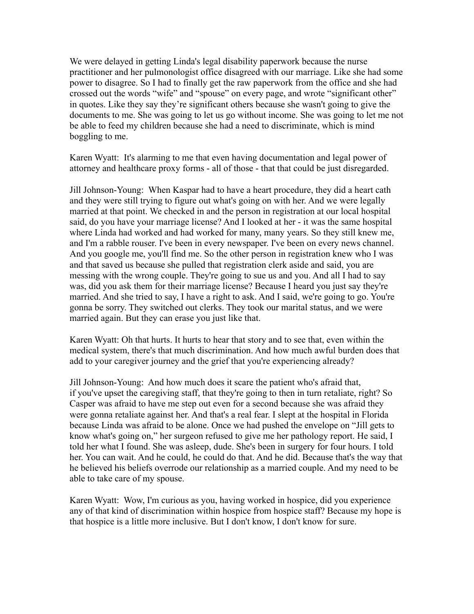We were delayed in getting Linda's legal disability paperwork because the nurse practitioner and her pulmonologist office disagreed with our marriage. Like she had some power to disagree. So I had to finally get the raw paperwork from the office and she had crossed out the words "wife" and "spouse" on every page, and wrote "significant other" in quotes. Like they say they're significant others because she wasn't going to give the documents to me. She was going to let us go without income. She was going to let me not be able to feed my children because she had a need to discriminate, which is mind boggling to me.

Karen Wyatt: It's alarming to me that even having documentation and legal power of attorney and healthcare proxy forms - all of those - that that could be just disregarded.

Jill Johnson-Young: When Kaspar had to have a heart procedure, they did a heart cath and they were still trying to figure out what's going on with her. And we were legally married at that point. We checked in and the person in registration at our local hospital said, do you have your marriage license? And I looked at her - it was the same hospital where Linda had worked and had worked for many, many years. So they still knew me, and I'm a rabble rouser. I've been in every newspaper. I've been on every news channel. And you google me, you'll find me. So the other person in registration knew who I was and that saved us because she pulled that registration clerk aside and said, you are messing with the wrong couple. They're going to sue us and you. And all I had to say was, did you ask them for their marriage license? Because I heard you just say they're married. And she tried to say, I have a right to ask. And I said, we're going to go. You're gonna be sorry. They switched out clerks. They took our marital status, and we were married again. But they can erase you just like that.

Karen Wyatt: Oh that hurts. It hurts to hear that story and to see that, even within the medical system, there's that much discrimination. And how much awful burden does that add to your caregiver journey and the grief that you're experiencing already?

Jill Johnson-Young: And how much does it scare the patient who's afraid that, if you've upset the caregiving staff, that they're going to then in turn retaliate, right? So Casper was afraid to have me step out even for a second because she was afraid they were gonna retaliate against her. And that's a real fear. I slept at the hospital in Florida because Linda was afraid to be alone. Once we had pushed the envelope on "Jill gets to know what's going on," her surgeon refused to give me her pathology report. He said, I told her what I found. She was asleep, dude. She's been in surgery for four hours. I told her. You can wait. And he could, he could do that. And he did. Because that's the way that he believed his beliefs overrode our relationship as a married couple. And my need to be able to take care of my spouse.

Karen Wyatt: Wow, I'm curious as you, having worked in hospice, did you experience any of that kind of discrimination within hospice from hospice staff? Because my hope is that hospice is a little more inclusive. But I don't know, I don't know for sure.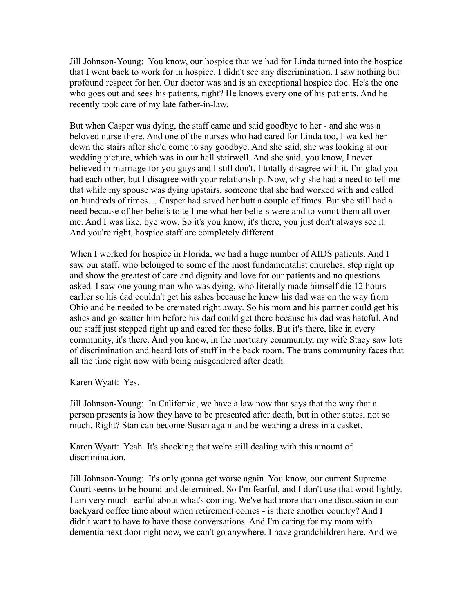Jill Johnson-Young: You know, our hospice that we had for Linda turned into the hospice that I went back to work for in hospice. I didn't see any discrimination. I saw nothing but profound respect for her. Our doctor was and is an exceptional hospice doc. He's the one who goes out and sees his patients, right? He knows every one of his patients. And he recently took care of my late father-in-law.

But when Casper was dying, the staff came and said goodbye to her - and she was a beloved nurse there. And one of the nurses who had cared for Linda too, I walked her down the stairs after she'd come to say goodbye. And she said, she was looking at our wedding picture, which was in our hall stairwell. And she said, you know, I never believed in marriage for you guys and I still don't. I totally disagree with it. I'm glad you had each other, but I disagree with your relationship. Now, why she had a need to tell me that while my spouse was dying upstairs, someone that she had worked with and called on hundreds of times… Casper had saved her butt a couple of times. But she still had a need because of her beliefs to tell me what her beliefs were and to vomit them all over me. And I was like, bye wow. So it's you know, it's there, you just don't always see it. And you're right, hospice staff are completely different.

When I worked for hospice in Florida, we had a huge number of AIDS patients. And I saw our staff, who belonged to some of the most fundamentalist churches, step right up and show the greatest of care and dignity and love for our patients and no questions asked. I saw one young man who was dying, who literally made himself die 12 hours earlier so his dad couldn't get his ashes because he knew his dad was on the way from Ohio and he needed to be cremated right away. So his mom and his partner could get his ashes and go scatter him before his dad could get there because his dad was hateful. And our staff just stepped right up and cared for these folks. But it's there, like in every community, it's there. And you know, in the mortuary community, my wife Stacy saw lots of discrimination and heard lots of stuff in the back room. The trans community faces that all the time right now with being misgendered after death.

Karen Wyatt: Yes.

Jill Johnson-Young: In California, we have a law now that says that the way that a person presents is how they have to be presented after death, but in other states, not so much. Right? Stan can become Susan again and be wearing a dress in a casket.

Karen Wyatt: Yeah. It's shocking that we're still dealing with this amount of discrimination.

Jill Johnson-Young: It's only gonna get worse again. You know, our current Supreme Court seems to be bound and determined. So I'm fearful, and I don't use that word lightly. I am very much fearful about what's coming. We've had more than one discussion in our backyard coffee time about when retirement comes - is there another country? And I didn't want to have to have those conversations. And I'm caring for my mom with dementia next door right now, we can't go anywhere. I have grandchildren here. And we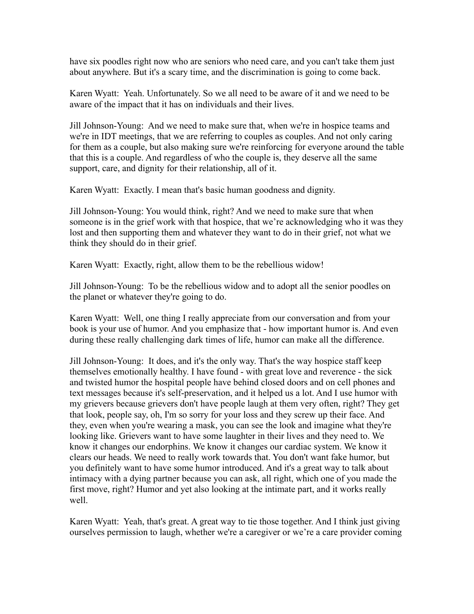have six poodles right now who are seniors who need care, and you can't take them just about anywhere. But it's a scary time, and the discrimination is going to come back.

Karen Wyatt: Yeah. Unfortunately. So we all need to be aware of it and we need to be aware of the impact that it has on individuals and their lives.

Jill Johnson-Young: And we need to make sure that, when we're in hospice teams and we're in IDT meetings, that we are referring to couples as couples. And not only caring for them as a couple, but also making sure we're reinforcing for everyone around the table that this is a couple. And regardless of who the couple is, they deserve all the same support, care, and dignity for their relationship, all of it.

Karen Wyatt: Exactly. I mean that's basic human goodness and dignity.

Jill Johnson-Young: You would think, right? And we need to make sure that when someone is in the grief work with that hospice, that we're acknowledging who it was they lost and then supporting them and whatever they want to do in their grief, not what we think they should do in their grief.

Karen Wyatt: Exactly, right, allow them to be the rebellious widow!

Jill Johnson-Young: To be the rebellious widow and to adopt all the senior poodles on the planet or whatever they're going to do.

Karen Wyatt: Well, one thing I really appreciate from our conversation and from your book is your use of humor. And you emphasize that - how important humor is. And even during these really challenging dark times of life, humor can make all the difference.

Jill Johnson-Young: It does, and it's the only way. That's the way hospice staff keep themselves emotionally healthy. I have found - with great love and reverence - the sick and twisted humor the hospital people have behind closed doors and on cell phones and text messages because it's self-preservation, and it helped us a lot. And I use humor with my grievers because grievers don't have people laugh at them very often, right? They get that look, people say, oh, I'm so sorry for your loss and they screw up their face. And they, even when you're wearing a mask, you can see the look and imagine what they're looking like. Grievers want to have some laughter in their lives and they need to. We know it changes our endorphins. We know it changes our cardiac system. We know it clears our heads. We need to really work towards that. You don't want fake humor, but you definitely want to have some humor introduced. And it's a great way to talk about intimacy with a dying partner because you can ask, all right, which one of you made the first move, right? Humor and yet also looking at the intimate part, and it works really well.

Karen Wyatt: Yeah, that's great. A great way to tie those together. And I think just giving ourselves permission to laugh, whether we're a caregiver or we're a care provider coming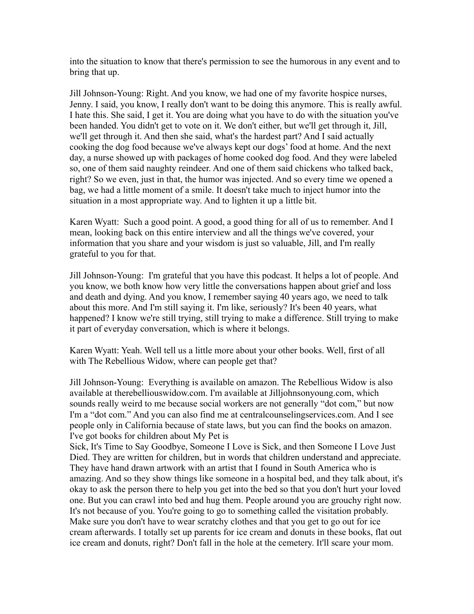into the situation to know that there's permission to see the humorous in any event and to bring that up.

Jill Johnson-Young: Right. And you know, we had one of my favorite hospice nurses, Jenny. I said, you know, I really don't want to be doing this anymore. This is really awful. I hate this. She said, I get it. You are doing what you have to do with the situation you've been handed. You didn't get to vote on it. We don't either, but we'll get through it, Jill, we'll get through it. And then she said, what's the hardest part? And I said actually cooking the dog food because we've always kept our dogs' food at home. And the next day, a nurse showed up with packages of home cooked dog food. And they were labeled so, one of them said naughty reindeer. And one of them said chickens who talked back, right? So we even, just in that, the humor was injected. And so every time we opened a bag, we had a little moment of a smile. It doesn't take much to inject humor into the situation in a most appropriate way. And to lighten it up a little bit.

Karen Wyatt: Such a good point. A good, a good thing for all of us to remember. And I mean, looking back on this entire interview and all the things we've covered, your information that you share and your wisdom is just so valuable, Jill, and I'm really grateful to you for that.

Jill Johnson-Young: I'm grateful that you have this podcast. It helps a lot of people. And you know, we both know how very little the conversations happen about grief and loss and death and dying. And you know, I remember saying 40 years ago, we need to talk about this more. And I'm still saying it. I'm like, seriously? It's been 40 years, what happened? I know we're still trying, still trying to make a difference. Still trying to make it part of everyday conversation, which is where it belongs.

Karen Wyatt: Yeah. Well tell us a little more about your other books. Well, first of all with The Rebellious Widow, where can people get that?

Jill Johnson-Young: Everything is available on amazon. The Rebellious Widow is also available at therebelliouswidow.com. I'm available at Jilljohnsonyoung.com, which sounds really weird to me because social workers are not generally "dot com," but now I'm a "dot com." And you can also find me at centralcounselingservices.com. And I see people only in California because of state laws, but you can find the books on amazon. I've got books for children about My Pet is

Sick, It's Time to Say Goodbye, Someone I Love is Sick, and then Someone I Love Just Died. They are written for children, but in words that children understand and appreciate. They have hand drawn artwork with an artist that I found in South America who is amazing. And so they show things like someone in a hospital bed, and they talk about, it's okay to ask the person there to help you get into the bed so that you don't hurt your loved one. But you can crawl into bed and hug them. People around you are grouchy right now. It's not because of you. You're going to go to something called the visitation probably. Make sure you don't have to wear scratchy clothes and that you get to go out for ice cream afterwards. I totally set up parents for ice cream and donuts in these books, flat out ice cream and donuts, right? Don't fall in the hole at the cemetery. It'll scare your mom.